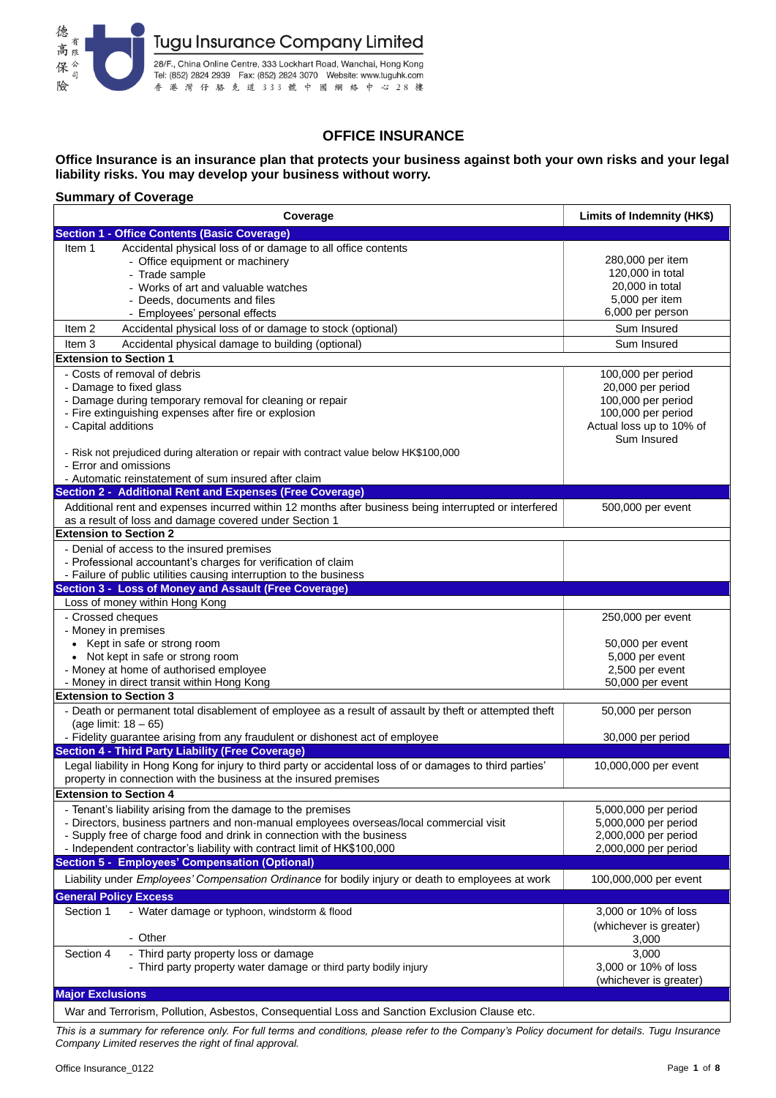

# **OFFICE INSURANCE**

## **Office Insurance is an insurance plan that protects your business against both your own risks and your legal liability risks. You may develop your business without worry.**

## **Summary of Coverage**

| Coverage                                                                                                                      | Limits of Indemnity (HK\$)                     |  |  |  |  |
|-------------------------------------------------------------------------------------------------------------------------------|------------------------------------------------|--|--|--|--|
| <b>Section 1 - Office Contents (Basic Coverage)</b>                                                                           |                                                |  |  |  |  |
| Accidental physical loss of or damage to all office contents<br>Item 1                                                        |                                                |  |  |  |  |
| - Office equipment or machinery                                                                                               | 280,000 per item                               |  |  |  |  |
| - Trade sample                                                                                                                | 120,000 in total                               |  |  |  |  |
| - Works of art and valuable watches                                                                                           | 20,000 in total                                |  |  |  |  |
| - Deeds, documents and files                                                                                                  | 5,000 per item                                 |  |  |  |  |
| - Employees' personal effects                                                                                                 | 6,000 per person                               |  |  |  |  |
| Accidental physical loss of or damage to stock (optional)<br>Item <sub>2</sub>                                                | Sum Insured                                    |  |  |  |  |
| Accidental physical damage to building (optional)<br>Item <sub>3</sub>                                                        | Sum Insured                                    |  |  |  |  |
| <b>Extension to Section 1</b>                                                                                                 |                                                |  |  |  |  |
| - Costs of removal of debris                                                                                                  | 100,000 per period                             |  |  |  |  |
| - Damage to fixed glass                                                                                                       | 20,000 per period                              |  |  |  |  |
| - Damage during temporary removal for cleaning or repair                                                                      | 100,000 per period                             |  |  |  |  |
| - Fire extinguishing expenses after fire or explosion                                                                         | 100,000 per period                             |  |  |  |  |
| - Capital additions                                                                                                           | Actual loss up to 10% of                       |  |  |  |  |
|                                                                                                                               | Sum Insured                                    |  |  |  |  |
| - Risk not prejudiced during alteration or repair with contract value below HK\$100,000<br>- Error and omissions              |                                                |  |  |  |  |
| - Automatic reinstatement of sum insured after claim                                                                          |                                                |  |  |  |  |
| Section 2 - Additional Rent and Expenses (Free Coverage)                                                                      |                                                |  |  |  |  |
| Additional rent and expenses incurred within 12 months after business being interrupted or interfered                         | 500,000 per event                              |  |  |  |  |
| as a result of loss and damage covered under Section 1                                                                        |                                                |  |  |  |  |
| <b>Extension to Section 2</b>                                                                                                 |                                                |  |  |  |  |
| - Denial of access to the insured premises                                                                                    |                                                |  |  |  |  |
| - Professional accountant's charges for verification of claim                                                                 |                                                |  |  |  |  |
| - Failure of public utilities causing interruption to the business                                                            |                                                |  |  |  |  |
| Section 3 - Loss of Money and Assault (Free Coverage)                                                                         |                                                |  |  |  |  |
| Loss of money within Hong Kong                                                                                                |                                                |  |  |  |  |
| - Crossed cheques                                                                                                             | 250,000 per event                              |  |  |  |  |
| - Money in premises                                                                                                           |                                                |  |  |  |  |
| • Kept in safe or strong room                                                                                                 | 50,000 per event                               |  |  |  |  |
| Not kept in safe or strong room<br>$\bullet$                                                                                  | 5,000 per event                                |  |  |  |  |
| - Money at home of authorised employee                                                                                        | 2,500 per event                                |  |  |  |  |
| - Money in direct transit within Hong Kong<br>50,000 per event<br><b>Extension to Section 3</b>                               |                                                |  |  |  |  |
|                                                                                                                               |                                                |  |  |  |  |
| - Death or permanent total disablement of employee as a result of assault by theft or attempted theft<br>(age limit: 18 - 65) | 50,000 per person                              |  |  |  |  |
| - Fidelity guarantee arising from any fraudulent or dishonest act of employee                                                 | 30,000 per period                              |  |  |  |  |
| <b>Section 4 - Third Party Liability (Free Coverage)</b>                                                                      |                                                |  |  |  |  |
| Legal liability in Hong Kong for injury to third party or accidental loss of or damages to third parties'                     | 10,000,000 per event                           |  |  |  |  |
| property in connection with the business at the insured premises                                                              |                                                |  |  |  |  |
| <b>Extension to Section 4</b>                                                                                                 |                                                |  |  |  |  |
| - Tenant's liability arising from the damage to the premises                                                                  | 5,000,000 per period                           |  |  |  |  |
| - Directors, business partners and non-manual employees overseas/local commercial visit                                       | 5,000,000 per period                           |  |  |  |  |
| - Supply free of charge food and drink in connection with the business                                                        | 2,000,000 per period                           |  |  |  |  |
| - Independent contractor's liability with contract limit of HK\$100,000                                                       | 2,000,000 per period                           |  |  |  |  |
| Section 5 - Employees' Compensation (Optional)                                                                                |                                                |  |  |  |  |
| Liability under Employees' Compensation Ordinance for bodily injury or death to employees at work                             | 100,000,000 per event                          |  |  |  |  |
| <b>General Policy Excess</b>                                                                                                  |                                                |  |  |  |  |
|                                                                                                                               |                                                |  |  |  |  |
| Section 1<br>- Water damage or typhoon, windstorm & flood                                                                     | 3,000 or 10% of loss                           |  |  |  |  |
| - Other                                                                                                                       | (whichever is greater)                         |  |  |  |  |
|                                                                                                                               | 3,000                                          |  |  |  |  |
| Section 4<br>- Third party property loss or damage                                                                            | 3,000                                          |  |  |  |  |
| - Third party property water damage or third party bodily injury                                                              | 3,000 or 10% of loss<br>(whichever is greater) |  |  |  |  |
| <b>Major Exclusions</b>                                                                                                       |                                                |  |  |  |  |
| War and Terrorism Pollution Ashestos Consequential Loss and Sanction Exclusion Clause etc.                                    |                                                |  |  |  |  |

estos, Consequential Loss and Sanction Exclusion Clause

*This is a summary for reference only. For full terms and conditions, please refer to the Company's Policy document for details. Tugu Insurance Company Limited reserves the right of final approval.*

 $\overline{\phantom{a}}$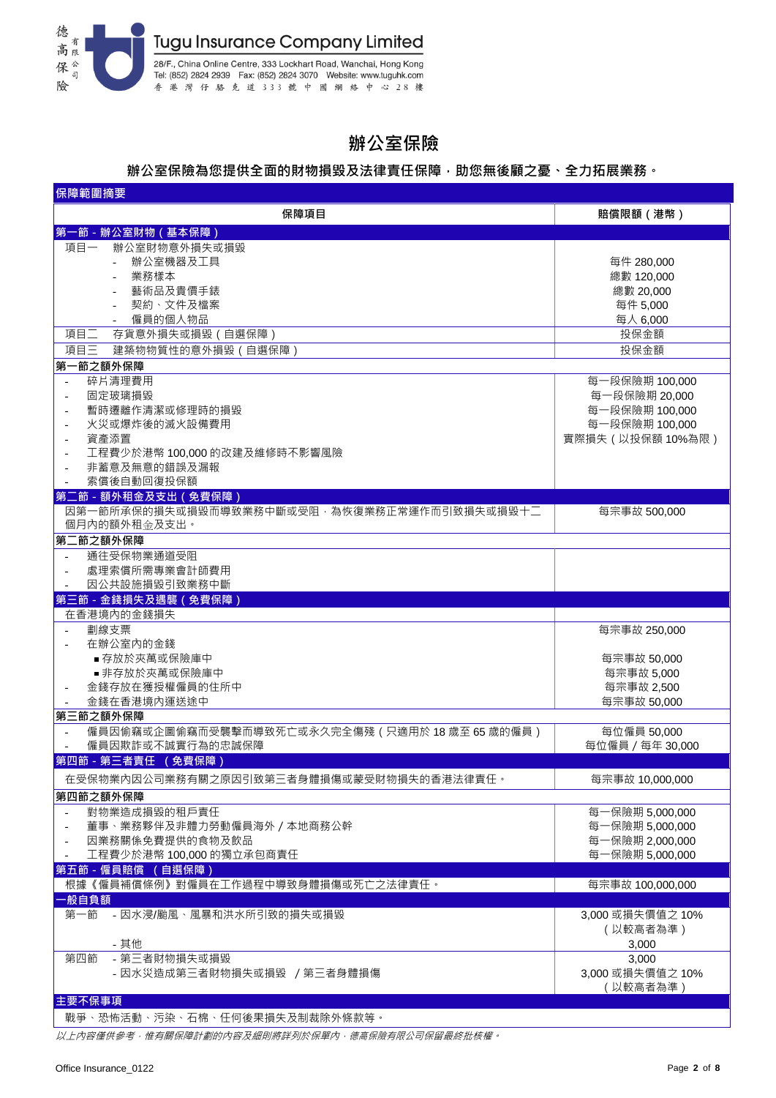

# **辦公室保險**

# **辦公室保險為您提供全面的財物損毀及法律責任保障,助您無後顧之憂、全力拓展業務。**

| 保障範圍摘要                                                       |                   |
|--------------------------------------------------------------|-------------------|
| 保障項目                                                         | 賠償限額 (港幣)         |
| 第一節 - 辦公室財物 ( 基本保障 )                                         |                   |
| 辦公室財物意外損失或損毀<br>項目一                                          |                   |
| 辦公室機器及工具<br>$\mathcal{L}^{\mathcal{L}}$                      | 每件 280,000        |
| 業務樣本                                                         | 總數 120,000        |
| 藝術品及貴價手錶                                                     | 總數 20,000         |
| 契約、文件及檔案                                                     | 每件 5,000          |
| 僱員的個人物品                                                      | 每人 6,000          |
| 項目二<br>存貨意外損失或損毀 (自選保障)                                      | 投保金額              |
| 項目三<br>建築物物質性的意外損毀 (自選保障)                                    | 投保金額              |
| 第一節之額外保障                                                     |                   |
| 碎片清理費用<br>$\overline{\phantom{a}}$                           | 每一段保險期 100,000    |
| 固定玻璃損毀<br>$\overline{\phantom{a}}$                           | 每一段保險期 20,000     |
| 暫時遷離作清潔或修理時的損毀<br>$\overline{\phantom{a}}$                   | 每一段保險期 100,000    |
| 火災或爆炸後的滅火設備費用<br>$\overline{\phantom{a}}$                    | 每一段保險期 100,000    |
| 資產添置                                                         | 實際損失 (以投保額 10%為限) |
| 工程費少於港幣 100,000 的改建及維修時不影響風險                                 |                   |
| 非蓄意及無意的錯誤及漏報                                                 |                   |
| 索償後自動回復投保額                                                   |                   |
| 第二節 - 額外租金及支出 (免費保障)                                         |                   |
| 因第一節所承保的損失或損毀而導致業務中斷或受阻,為恢復業務正常運作而引致損失或損毀十二<br>個月內的額外租金及支出。  | 每宗事故 500,000      |
| 第二節之額外保障                                                     |                   |
| 通往受保物業通道受阻                                                   |                   |
| 處理索償所需專業會計師費用                                                |                   |
| 因公共設施損毀引致業務中斷                                                |                   |
| 第三節 - 金錢損失及遇襲 (免費保障)                                         |                   |
| 在香港境内的金錢損失                                                   |                   |
| 劃線支票<br>$\sim$                                               | 每宗事故 250,000      |
| 在辦公室內的金錢                                                     |                   |
| ■ 存放於夾萬或保險庫中                                                 | 每宗事故 50,000       |
| ■ 非存放於夾萬或保險庫中                                                | 每宗事故 5,000        |
| 金錢存放在獲授權僱員的住所中                                               | 每宗事故 2,500        |
| 金錢在香港境內運送途中                                                  | 每宗事故 50,000       |
| 第三節之額外保障                                                     |                   |
| 僱員因偷竊或企圖偷竊而受襲擊而導致死亡或永久完全傷殘 (只適用於 18 歲至 65 歲的僱員)<br>$\bar{a}$ | 每位僱員 50,000       |
| 僱員因欺詐或不誠實行為的忠誠保障                                             | 每位僱員 / 每年 30,000  |
| 第四節 - 第三者責任 (免費保障)                                           |                   |
| 在受保物業內因公司業務有關之原因引致第三者身體損傷或蒙受財物損失的香港法律責任。                     | 每宗事故 10,000,000   |
| 第四節之額外保障                                                     |                   |
| 對物業造成損毀的租戶責任<br>$\sim$                                       | 每一保險期 5,000,000   |
| 董事、業務夥伴及非體力勞動僱員海外 / 本地商務公幹                                   | 每一保險期 5,000,000   |
| 因業務關係免費提供的食物及飲品<br>$\overline{\phantom{a}}$                  | 每一保險期 2,000,000   |
| 工程費少於港幣 100,000 的獨立承包商責任                                     | 每一保險期 5,000,000   |
| 第五節 - 僱員賠償 (自選保障)                                            |                   |
| 根據《僱員補償條例》對僱員在工作過程中導致身體損傷或死亡之法律責任。                           | 每宗事故 100,000,000  |
| ·般自負額                                                        |                   |
| 第一節<br>- 因水浸/颱風、風暴和洪水所引致的損失或損毀                               | 3,000 或損失價值之 10%  |
|                                                              | (以較高者為準)          |
| - 其他                                                         | 3,000             |
| - 第三者財物損失或損毀<br>第四節                                          | 3,000             |
| - 因水災造成第三者財物損失或損毀 / 第三者身體損傷                                  | 3,000 或損失價值之 10%  |
|                                                              | (以較高者為準)          |
| 主要不保事項                                                       |                   |
| 戰爭、恐怖活動、污染、石棉、任何後果損失及制裁除外條款等。                                |                   |

戰爭、恐怖活動、污染、石棉、任何後果損失及制裁除外條款等。

以上內容僅供參考,惟有關保障計劃的內容及細則將詳列於保單內,德高保險有限公司保留最終批核權。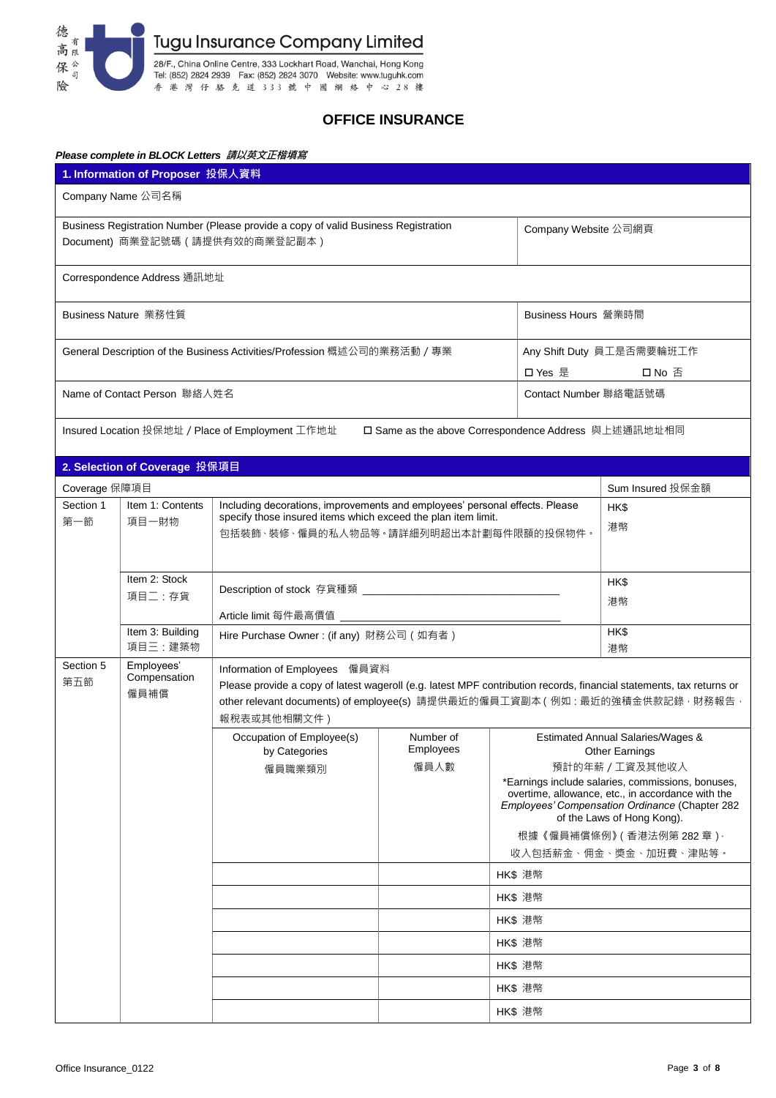

# **OFFICE INSURANCE**

### *Please complete in BLOCK Letters* **請以英文正楷填寫**

|                                                                                                                       | 1. Information of Proposer 投保人資料 |                                                                                                                                                                                                                      |                      |                                                      |                                                                                                                                                                                        |  |
|-----------------------------------------------------------------------------------------------------------------------|----------------------------------|----------------------------------------------------------------------------------------------------------------------------------------------------------------------------------------------------------------------|----------------------|------------------------------------------------------|----------------------------------------------------------------------------------------------------------------------------------------------------------------------------------------|--|
|                                                                                                                       | Company Name 公司名稱                |                                                                                                                                                                                                                      |                      |                                                      |                                                                                                                                                                                        |  |
| Business Registration Number (Please provide a copy of valid Business Registration<br>Document) 商業登記號碼 (請提供有效的商業登記副本) |                                  |                                                                                                                                                                                                                      | Company Website 公司網頁 |                                                      |                                                                                                                                                                                        |  |
|                                                                                                                       | Correspondence Address 通訊地址      |                                                                                                                                                                                                                      |                      |                                                      |                                                                                                                                                                                        |  |
| Business Nature 業務性質<br>Business Hours 營業時間                                                                           |                                  |                                                                                                                                                                                                                      |                      |                                                      |                                                                                                                                                                                        |  |
| General Description of the Business Activities/Profession 概述公司的業務活動 / 專業<br>口 Yes 是                                   |                                  |                                                                                                                                                                                                                      |                      | Any Shift Duty 員工是否需要輪班工作<br>口 No 否                  |                                                                                                                                                                                        |  |
| Name of Contact Person 聯絡人姓名                                                                                          |                                  |                                                                                                                                                                                                                      |                      | Contact Number 聯絡電話號碼                                |                                                                                                                                                                                        |  |
|                                                                                                                       |                                  | Insured Location 投保地址 / Place of Employment 工作地址                                                                                                                                                                     |                      | □ Same as the above Correspondence Address 與上述通訊地址相同 |                                                                                                                                                                                        |  |
|                                                                                                                       | 2. Selection of Coverage 投保項目    |                                                                                                                                                                                                                      |                      |                                                      |                                                                                                                                                                                        |  |
| Coverage 保障項目                                                                                                         |                                  |                                                                                                                                                                                                                      |                      |                                                      | Sum Insured 投保金額                                                                                                                                                                       |  |
| Section 1                                                                                                             | Item 1: Contents                 | Including decorations, improvements and employees' personal effects. Please                                                                                                                                          |                      |                                                      | HK\$                                                                                                                                                                                   |  |
| 第一節                                                                                                                   | 項目一財物                            | specify those insured items which exceed the plan item limit.<br>包括裝飾、裝修、僱員的私人物品等。請詳細列明超出本計劃每件限額的投保物件。                                                                                                               |                      |                                                      | 港幣                                                                                                                                                                                     |  |
|                                                                                                                       | Item 2: Stock                    |                                                                                                                                                                                                                      |                      |                                                      | HK\$                                                                                                                                                                                   |  |
|                                                                                                                       | 項目二:存貨                           |                                                                                                                                                                                                                      |                      |                                                      | 港幣                                                                                                                                                                                     |  |
|                                                                                                                       |                                  |                                                                                                                                                                                                                      |                      |                                                      |                                                                                                                                                                                        |  |
|                                                                                                                       | Item 3: Building<br>項目三:建築物      | Hire Purchase Owner: (if any) 財務公司 (如有者)                                                                                                                                                                             |                      |                                                      | HK\$<br>港幣                                                                                                                                                                             |  |
| Section 5                                                                                                             | Employees'<br>Compensation       | Information of Employees 僱員資料                                                                                                                                                                                        |                      |                                                      |                                                                                                                                                                                        |  |
| 第五節                                                                                                                   | 僱員補償                             | Please provide a copy of latest wageroll (e.g. latest MPF contribution records, financial statements, tax returns or<br>other relevant documents) of employee(s) 請提供最近的僱員工資副本 (例如:最近的強積金供款記錄 · 財務報告 ·<br>報稅表或其他相關文件) |                      |                                                      |                                                                                                                                                                                        |  |
|                                                                                                                       |                                  | Occupation of Employee(s)                                                                                                                                                                                            | Number of            |                                                      | <b>Estimated Annual Salaries/Wages &amp;</b>                                                                                                                                           |  |
|                                                                                                                       |                                  | by Categories                                                                                                                                                                                                        | Employees<br>僱員人數    |                                                      | <b>Other Earnings</b><br>預計的年薪 / 工資及其他收入                                                                                                                                               |  |
|                                                                                                                       |                                  | 僱員職業類別                                                                                                                                                                                                               |                      |                                                      | *Earnings include salaries, commissions, bonuses,<br>overtime, allowance, etc., in accordance with the<br>Employees' Compensation Ordinance (Chapter 282<br>of the Laws of Hong Kong). |  |
|                                                                                                                       |                                  |                                                                                                                                                                                                                      |                      |                                                      | 根據《僱員補償條例》(香港法例第 282 章) ·                                                                                                                                                              |  |
|                                                                                                                       |                                  |                                                                                                                                                                                                                      |                      |                                                      | 收入包括薪金、佣金、奬金、加班費、津貼等。                                                                                                                                                                  |  |
|                                                                                                                       |                                  |                                                                                                                                                                                                                      |                      | HK\$ 港幣                                              |                                                                                                                                                                                        |  |
|                                                                                                                       |                                  |                                                                                                                                                                                                                      |                      | HK\$ 港幣                                              |                                                                                                                                                                                        |  |
|                                                                                                                       |                                  |                                                                                                                                                                                                                      |                      | HK\$ 港幣                                              |                                                                                                                                                                                        |  |
|                                                                                                                       |                                  |                                                                                                                                                                                                                      |                      | HK\$ 港幣                                              |                                                                                                                                                                                        |  |
|                                                                                                                       |                                  |                                                                                                                                                                                                                      |                      | HK\$ 港幣                                              |                                                                                                                                                                                        |  |
| HK\$ 港幣                                                                                                               |                                  |                                                                                                                                                                                                                      |                      |                                                      |                                                                                                                                                                                        |  |
|                                                                                                                       |                                  |                                                                                                                                                                                                                      |                      | HK\$ 港幣                                              |                                                                                                                                                                                        |  |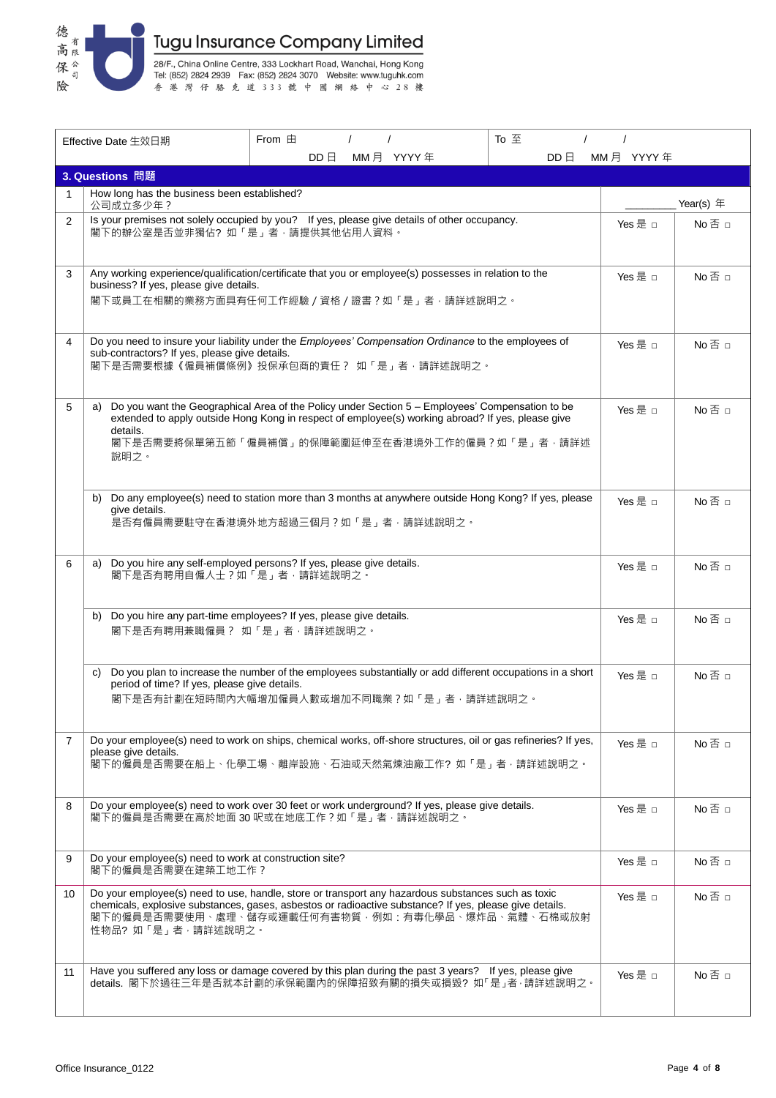

|                | Effective Date 生效日期                                                                                                                                                                                                                                                                    | From 由                |           | To 至 |                                    |                  |
|----------------|----------------------------------------------------------------------------------------------------------------------------------------------------------------------------------------------------------------------------------------------------------------------------------------|-----------------------|-----------|------|------------------------------------|------------------|
|                |                                                                                                                                                                                                                                                                                        | $DD \nbox{ } \square$ | MM月 YYYY年 |      | MM月 YYYY年<br>$DD \nbox{ } \square$ |                  |
|                | 3. Questions 問題                                                                                                                                                                                                                                                                        |                       |           |      |                                    |                  |
| 1              | How long has the business been established?<br>公司成立多少年?                                                                                                                                                                                                                                |                       |           |      |                                    | Year(s) $#$      |
| 2              | Is your premises not solely occupied by you? If yes, please give details of other occupancy.<br>閣下的辦公室是否並非獨佔?如「是」者,請提供其他佔用人資料。                                                                                                                                                         |                       |           |      | Yes 是 □                            | $No \n  A B B C$ |
| 3              | Any working experience/qualification/certificate that you or employee(s) possesses in relation to the<br>business? If yes, please give details.<br>閣下或員工在相關的業務方面具有任何工作經驗 / 資格 / 證書 ? 如 「是 」 者 · 請詳述說明之 ·                                                                               |                       |           |      | Yes 是 □                            | No 否 □           |
| 4              | Do you need to insure your liability under the Employees' Compensation Ordinance to the employees of<br>sub-contractors? If yes, please give details.<br>閣下是否需要根據《僱員補償條例》投保承包商的責任? 如「是」者,請詳述說明之。                                                                                       |                       |           |      | Yes 是 □                            | No 否 □           |
| 5              | Do you want the Geographical Area of the Policy under Section 5 - Employees' Compensation to be<br>a)<br>extended to apply outside Hong Kong in respect of employee(s) working abroad? If yes, please give<br>details.<br>閣下是否需要將保單第五節「僱員補償」的保障範圍延伸至在香港境外工作的僱員?如「是」者‧請詳述<br>說明之。       |                       |           |      | Yes 是 n                            | No 否 □           |
|                | Do any employee(s) need to station more than 3 months at anywhere outside Hong Kong? If yes, please<br>b)<br>give details.<br>是否有僱員需要駐守在香港境外地方超過三個月?如「是」者,請詳述說明之。                                                                                                                      |                       |           |      | Yes 是 □                            | No 否 □           |
| 6              | Do you hire any self-employed persons? If yes, please give details.<br>a)<br>閣下是否有聘用自僱人士?如「是」者,請詳述說明之。                                                                                                                                                                                 |                       |           |      | Yes 是 □                            | No 否 □           |
|                | b) Do you hire any part-time employees? If yes, please give details.<br>閣下是否有聘用兼職僱員 ? 如「是」者,請詳述說明之。                                                                                                                                                                                    |                       |           |      | Yes 是 □                            | No 否 □           |
|                | Do you plan to increase the number of the employees substantially or add different occupations in a short<br>C)<br>period of time? If yes, please give details.<br>閣下是否有計劃在短時間內大幅增加僱員人數或增加不同職業?如「是」者·請詳述說明之·                                                                           |                       |           |      | Yes 是 $\Box$                       | $No \n  ~$       |
| $\overline{7}$ | Do your employee(s) need to work on ships, chemical works, off-shore structures, oil or gas refineries? If yes,<br>please give details.<br>閣下的僱員是否需要在船上、化學工場、離岸設施、石油或天然氣煉油廠工作?如「是」者‧請詳述說明之。                                                                                            |                       |           |      | Yes 是 □                            | No 否 □           |
| 8              | Do your employee(s) need to work over 30 feet or work underground? If yes, please give details.<br>閣下的僱員是否需要在高於地面30呎或在地底工作?如「是」者,請詳述說明之。                                                                                                                                               |                       |           |      | Yes 是 □                            | No 否 □           |
| 9              | Do your employee(s) need to work at construction site?<br>閣下的僱員是否需要在建築工地工作?                                                                                                                                                                                                            |                       |           |      | Yes 是 □                            | No 否 □           |
| 10             | Do your employee(s) need to use, handle, store or transport any hazardous substances such as toxic<br>chemicals, explosive substances, gases, asbestos or radioactive substance? If yes, please give details.<br>閣下的僱員是否需要使用、處理、儲存或運載任何有害物質‧例如:有毒化學品、爆炸品、氣體、石棉或放射<br>性物品?如「是」者,請詳述說明之。 |                       |           |      | Yes 是 □                            | No 否 □           |
| 11             | Have you suffered any loss or damage covered by this plan during the past 3 years? If yes, please give<br>details. 閣下於過往三年是否就本計劃的承保範圍內的保障招致有關的損失或損毀? 如「是」者·請詳述說明之。                                                                                                                     |                       |           |      | Yes 是 □                            | No 否 □           |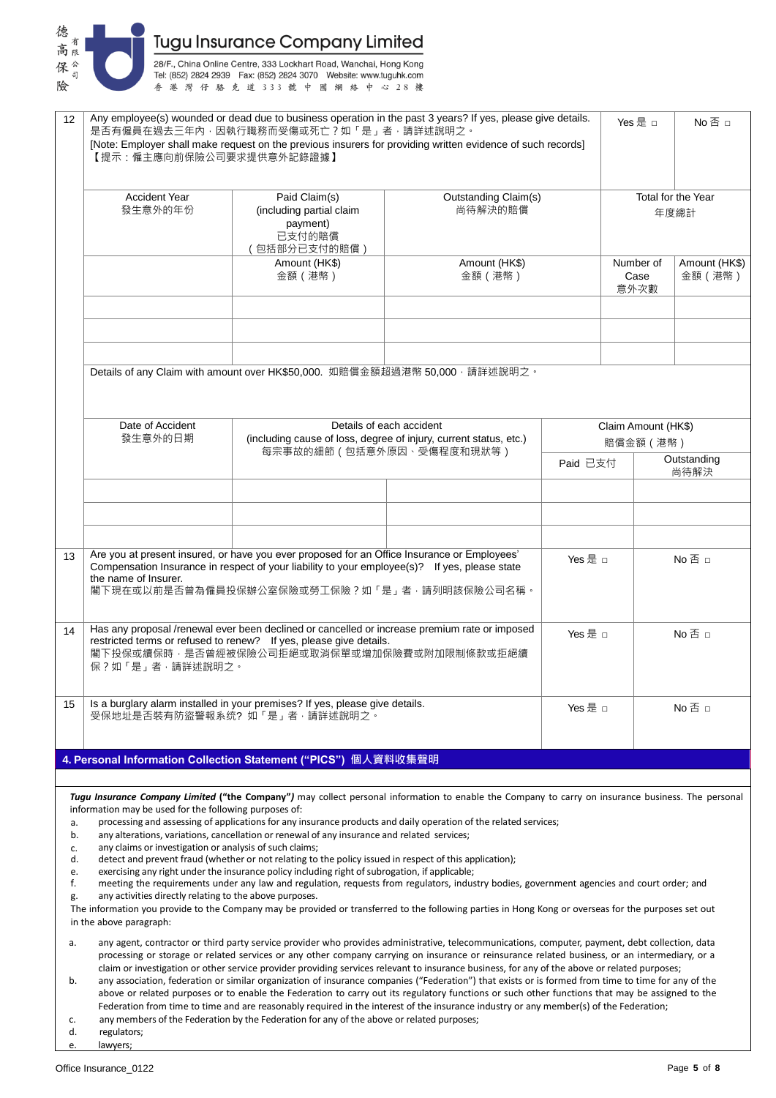

| 12                                                                                                                                                                                                                                                                                                                                                                                                                                                                                                                                                                                                                                                                                                                                                                                                                                                                                                                                                                                                                                         | Any employee(s) wounded or dead due to business operation in the past 3 years? If yes, please give details.<br>是否有僱員在過去三年內,因執行職務而受傷或死亡?如「是」者,請詳述說明之。<br>[Note: Employer shall make request on the previous insurers for providing written evidence of such records]<br>【提示:僱主應向前保險公司要求提供意外記錄證據】 |                                                                                                              |                                                                                                                            |         |                                  | $No \n  \Box$            |  |
|--------------------------------------------------------------------------------------------------------------------------------------------------------------------------------------------------------------------------------------------------------------------------------------------------------------------------------------------------------------------------------------------------------------------------------------------------------------------------------------------------------------------------------------------------------------------------------------------------------------------------------------------------------------------------------------------------------------------------------------------------------------------------------------------------------------------------------------------------------------------------------------------------------------------------------------------------------------------------------------------------------------------------------------------|-------------------------------------------------------------------------------------------------------------------------------------------------------------------------------------------------------------------------------------------------------------------------------------------------|--------------------------------------------------------------------------------------------------------------|----------------------------------------------------------------------------------------------------------------------------|---------|----------------------------------|--------------------------|--|
|                                                                                                                                                                                                                                                                                                                                                                                                                                                                                                                                                                                                                                                                                                                                                                                                                                                                                                                                                                                                                                            | <b>Accident Year</b><br>發生意外的年份                                                                                                                                                                                                                                                                 | Paid Claim(s)<br>(including partial claim<br>payment)<br>已支付的賠償<br>(包括部分已支付的賠償)                              | Outstanding Claim(s)<br>尚待解決的賠償                                                                                            |         | Total for the Year<br>年度總計       |                          |  |
|                                                                                                                                                                                                                                                                                                                                                                                                                                                                                                                                                                                                                                                                                                                                                                                                                                                                                                                                                                                                                                            |                                                                                                                                                                                                                                                                                                 | Amount (HK\$)<br>金額 (港幣)                                                                                     | Amount (HK\$)<br>金額 (港幣)                                                                                                   |         | Number of<br>Case<br>意外次數        | Amount (HK\$)<br>金額 (港幣) |  |
|                                                                                                                                                                                                                                                                                                                                                                                                                                                                                                                                                                                                                                                                                                                                                                                                                                                                                                                                                                                                                                            |                                                                                                                                                                                                                                                                                                 |                                                                                                              | Details of any Claim with amount over HK\$50,000. 如賠償金額超過港幣 50,000 · 請詳述說明之。                                               |         |                                  |                          |  |
|                                                                                                                                                                                                                                                                                                                                                                                                                                                                                                                                                                                                                                                                                                                                                                                                                                                                                                                                                                                                                                            | Date of Accident<br>發生意外的日期                                                                                                                                                                                                                                                                     |                                                                                                              | Details of each accident<br>(including cause of loss, degree of injury, current status, etc.)<br>每宗事故的細節 (包括意外原因、受傷程度和現狀等) |         | Claim Amount (HK\$)<br>賠償金額 (港幣) |                          |  |
|                                                                                                                                                                                                                                                                                                                                                                                                                                                                                                                                                                                                                                                                                                                                                                                                                                                                                                                                                                                                                                            |                                                                                                                                                                                                                                                                                                 |                                                                                                              |                                                                                                                            |         | Paid 已支付                         | Outstanding<br>尚待解決      |  |
|                                                                                                                                                                                                                                                                                                                                                                                                                                                                                                                                                                                                                                                                                                                                                                                                                                                                                                                                                                                                                                            |                                                                                                                                                                                                                                                                                                 |                                                                                                              |                                                                                                                            |         |                                  |                          |  |
| 13                                                                                                                                                                                                                                                                                                                                                                                                                                                                                                                                                                                                                                                                                                                                                                                                                                                                                                                                                                                                                                         | Are you at present insured, or have you ever proposed for an Office Insurance or Employees'<br>Compensation Insurance in respect of your liability to your employee(s)? If yes, please state<br>the name of Insurer.<br>閣下現在或以前是否曾為僱員投保辦公室保險或勞工保險?如「是」者,請列明該保險公司名稱。                             |                                                                                                              |                                                                                                                            |         | Yes 是 □                          |                          |  |
| 14                                                                                                                                                                                                                                                                                                                                                                                                                                                                                                                                                                                                                                                                                                                                                                                                                                                                                                                                                                                                                                         | Has any proposal /renewal ever been declined or cancelled or increase premium rate or imposed<br>restricted terms or refused to renew? If yes, please give details.<br>閣下投保或續保時,是否曾經被保險公司拒絕或取消保單或增加保險費或附加限制條款或拒絕續<br>保?如「是」者,請詳述說明之。                                                            |                                                                                                              |                                                                                                                            |         | No否 □<br>Yes 是 n                 |                          |  |
| 15                                                                                                                                                                                                                                                                                                                                                                                                                                                                                                                                                                                                                                                                                                                                                                                                                                                                                                                                                                                                                                         |                                                                                                                                                                                                                                                                                                 | Is a burglary alarm installed in your premises? If yes, please give details.<br>受保地址是否裝有防盜警報系统?如「是」者,請詳述說明之。 |                                                                                                                            | Yes 是 □ |                                  | No否 □                    |  |
|                                                                                                                                                                                                                                                                                                                                                                                                                                                                                                                                                                                                                                                                                                                                                                                                                                                                                                                                                                                                                                            |                                                                                                                                                                                                                                                                                                 | 4. Personal Information Collection Statement ("PICS") 個人資料收集聲明                                               |                                                                                                                            |         |                                  |                          |  |
|                                                                                                                                                                                                                                                                                                                                                                                                                                                                                                                                                                                                                                                                                                                                                                                                                                                                                                                                                                                                                                            | Tugu Insurance Company Limited ("the Company") may collect personal information to enable the Company to carry on insurance business. The personal<br>information may be used for the following purposes of:                                                                                    |                                                                                                              |                                                                                                                            |         |                                  |                          |  |
| processing and assessing of applications for any insurance products and daily operation of the related services;<br>a.<br>any alterations, variations, cancellation or renewal of any insurance and related services;<br>b.<br>any claims or investigation or analysis of such claims;<br>c.<br>detect and prevent fraud (whether or not relating to the policy issued in respect of this application);<br>d.                                                                                                                                                                                                                                                                                                                                                                                                                                                                                                                                                                                                                              |                                                                                                                                                                                                                                                                                                 |                                                                                                              |                                                                                                                            |         |                                  |                          |  |
| exercising any right under the insurance policy including right of subrogation, if applicable;<br>e.<br>f.<br>meeting the requirements under any law and regulation, requests from regulators, industry bodies, government agencies and court order; and<br>any activities directly relating to the above purposes.<br>g.<br>The information you provide to the Company may be provided or transferred to the following parties in Hong Kong or overseas for the purposes set out                                                                                                                                                                                                                                                                                                                                                                                                                                                                                                                                                          |                                                                                                                                                                                                                                                                                                 |                                                                                                              |                                                                                                                            |         |                                  |                          |  |
|                                                                                                                                                                                                                                                                                                                                                                                                                                                                                                                                                                                                                                                                                                                                                                                                                                                                                                                                                                                                                                            | in the above paragraph:                                                                                                                                                                                                                                                                         |                                                                                                              |                                                                                                                            |         |                                  |                          |  |
| any agent, contractor or third party service provider who provides administrative, telecommunications, computer, payment, debt collection, data<br>a.<br>processing or storage or related services or any other company carrying on insurance or reinsurance related business, or an intermediary, or a<br>claim or investigation or other service provider providing services relevant to insurance business, for any of the above or related purposes;<br>any association, federation or similar organization of insurance companies ("Federation") that exists or is formed from time to time for any of the<br>b.<br>above or related purposes or to enable the Federation to carry out its regulatory functions or such other functions that may be assigned to the<br>Federation from time to time and are reasonably required in the interest of the insurance industry or any member(s) of the Federation;<br>any members of the Federation by the Federation for any of the above or related purposes;<br>c.<br>d.<br>regulators; |                                                                                                                                                                                                                                                                                                 |                                                                                                              |                                                                                                                            |         |                                  |                          |  |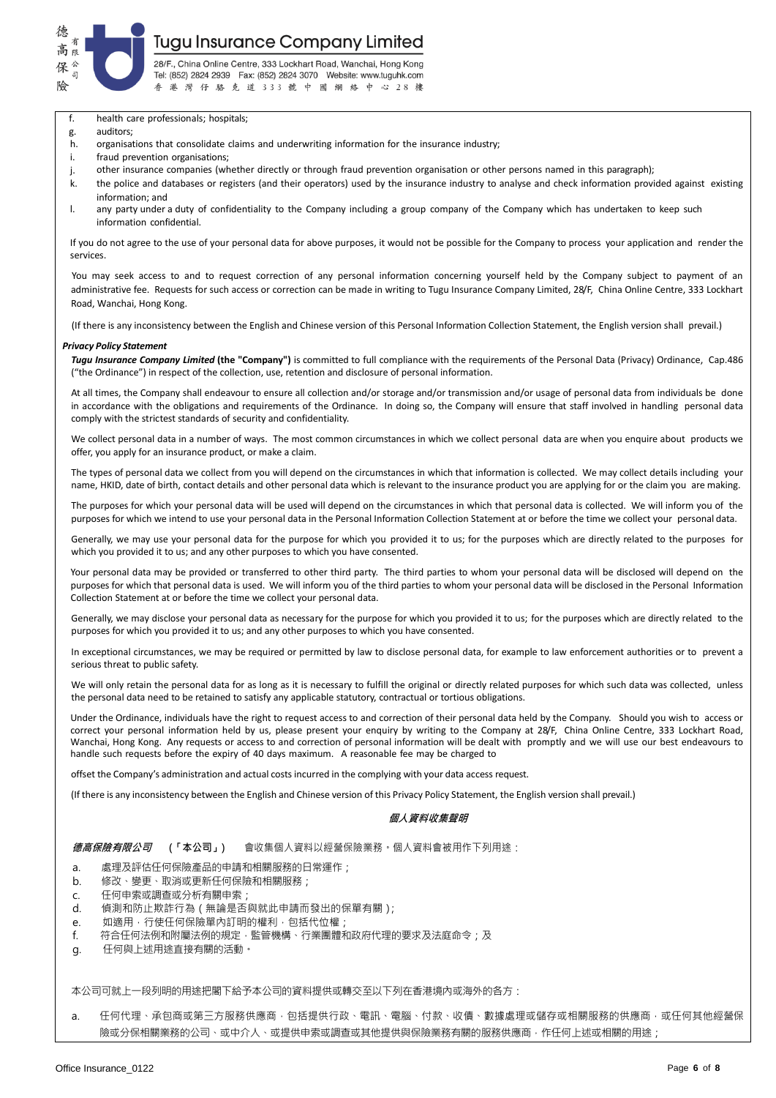

28/F., China Online Centre, 333 Lockhart Road, Wanchai, Hong Kong Tel: (852) 2824 2939 Fax: (852) 2824 3070 Website: www.tuguhk.com 香港灣仔駱克道333號中國網絡中心28樓

f. health care professionals; hospitals;

- g. auditors;
- h. organisations that consolidate claims and underwriting information for the insurance industry;
- i. fraud prevention organisations:
- j. other insurance companies (whether directly or through fraud prevention organisation or other persons named in this paragraph);
- k. the police and databases or registers (and their operators) used by the insurance industry to analyse and check information provided against existing information; and
- l. any party under a duty of confidentiality to the Company including a group company of the Company which has undertaken to keep such information confidential.

If you do not agree to the use of your personal data for above purposes, it would not be possible for the Company to process your application and render the services.

You may seek access to and to request correction of any personal information concerning yourself held by the Company subject to payment of an administrative fee. Requests for such access or correction can be made in writing to Tugu Insurance Company Limited, 28/F, China Online Centre, 333 Lockhart Road, Wanchai, Hong Kong.

(If there is any inconsistency between the English and Chinese version of this Personal Information Collection Statement, the English version shall prevail.)

#### *Privacy Policy Statement*

*Tugu Insurance Company Limited* **(the "Company")** is committed to full compliance with the requirements of the Personal Data (Privacy) Ordinance, Cap.486 ("the Ordinance") in respect of the collection, use, retention and disclosure of personal information.

At all times, the Company shall endeavour to ensure all collection and/or storage and/or transmission and/or usage of personal data from individuals be done in accordance with the obligations and requirements of the Ordinance. In doing so, the Company will ensure that staff involved in handling personal data comply with the strictest standards of security and confidentiality.

We collect personal data in a number of ways. The most common circumstances in which we collect personal data are when you enquire about products we offer, you apply for an insurance product, or make a claim.

The types of personal data we collect from you will depend on the circumstances in which that information is collected. We may collect details including your name, HKID, date of birth, contact details and other personal data which is relevant to the insurance product you are applying for or the claim you are making.

The purposes for which your personal data will be used will depend on the circumstances in which that personal data is collected. We will inform you of the purposes for which we intend to use your personal data in the Personal Information Collection Statement at or before the time we collect your personal data.

Generally, we may use your personal data for the purpose for which you provided it to us; for the purposes which are directly related to the purposes for which you provided it to us; and any other purposes to which you have consented.

Your personal data may be provided or transferred to other third party. The third parties to whom your personal data will be disclosed will depend on the purposes for which that personal data is used. We will inform you of the third parties to whom your personal data will be disclosed in the Personal Information Collection Statement at or before the time we collect your personal data.

Generally, we may disclose your personal data as necessary for the purpose for which you provided it to us; for the purposes which are directly related to the purposes for which you provided it to us; and any other purposes to which you have consented.

In exceptional circumstances, we may be required or permitted by law to disclose personal data, for example to law enforcement authorities or to prevent a serious threat to public safety.

We will only retain the personal data for as long as it is necessary to fulfill the original or directly related purposes for which such data was collected, unless the personal data need to be retained to satisfy any applicable statutory, contractual or tortious obligations.

Under the Ordinance, individuals have the right to request access to and correction of their personal data held by the Company. Should you wish to access or correct your personal information held by us, please present your enquiry by writing to the Company at 28/F, China Online Centre, 333 Lockhart Road, Wanchai, Hong Kong. Any requests or access to and correction of personal information will be dealt with promptly and we will use our best endeavours to handle such requests before the expiry of 40 days maximum. A reasonable fee may be charged to

offset the Company's administration and actual costs incurred in the complying with your data access request.

(If there is any inconsistency between the English and Chinese version of this Privacy Policy Statement, the English version shall prevail.)

### **個人資料收集聲明**

**德高保險有限公司 (「本公司」)** 會收集個人資料以經營保險業務。個人資料會被用作下列用途:

- a. 處理及評估任何保險產品的申請和相關服務的日常運作;
- b. 修改、變更、取消或更新任何保險和相關服務;
- c. 任何申索或調查或分析有關申索;
- 
- d. 偵測和防止欺詐行為(無論是否與就此申請而發出的保單有關);
- e. 如適用,行使任何保險單內訂明的權利,包括代位權;
- f. 符合任何法例和附屬法例的規定,監管機構、行業團體和政府代理的要求及法庭命令;及
- g. 任何與上述用途直接有關的活動。

本公司可就上一段列明的用途把閣下給予本公司的資料提供或轉交至以下列在香港境內或海外的各方:

a. 任何代理、承包商或第三方服務供應商·包括提供行政、電訊、電腦、付款、收債、數據處理或儲存或相關服務的供應商·或任何其他經營保 險或分保相關業務的公司、或中介人、或提供申索或調查或其他提供與保險業務有關的服務供應商,作任何上述或相關的用途;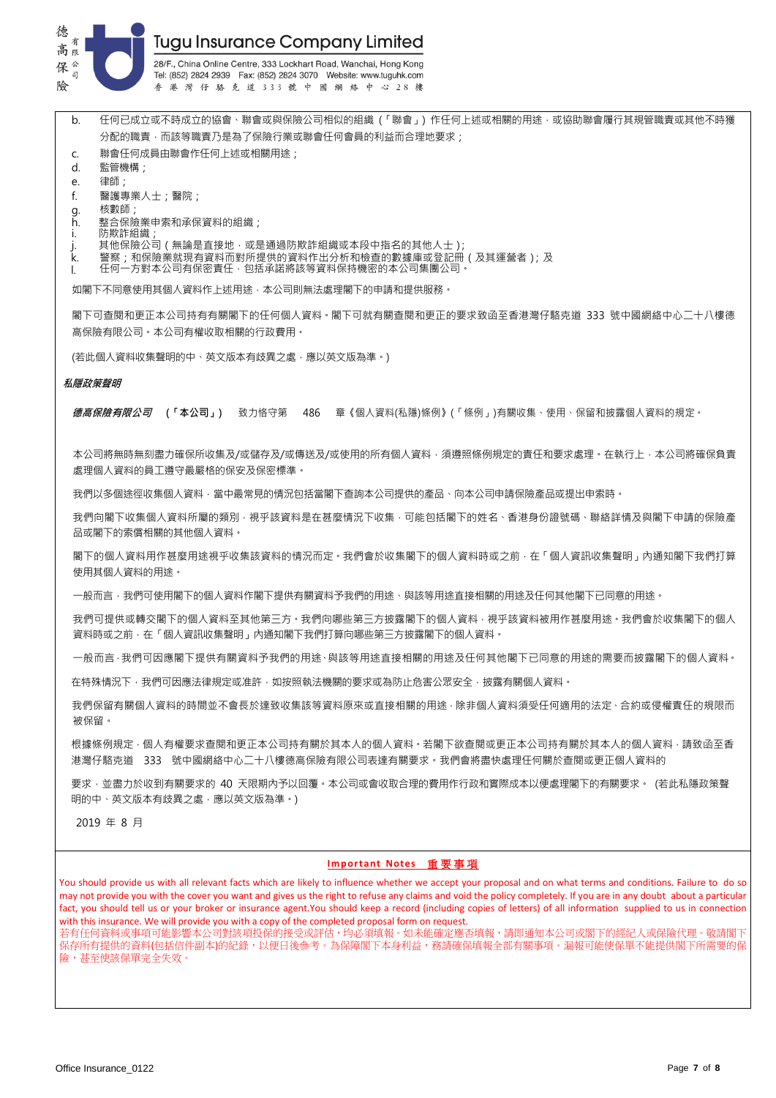

- b. 任何已成立或不時成立的協會、聯會或與保險公司相似的組織 (「聯會」) 作任何上述或相關的用途,或協助聯會履行其規管職責或其他不時獲 分配的職責,而該等職責乃是為了保險行業或聯會任何會員的利益而合理地要求;
- c. 聯會任何成員由聯會作任何上述或相關用途;
- d. 監管機構;
- e. 律師;
- f. 醫護專業人士;醫院;
- g. 核數師;
- h. 整合保險業申索和承保資料的組織;
- i. 防欺詐組織;
- j. 其他保險公司(無論是直接地 · 或是通過防欺詐組織或本段中指名的其他人士 );<br>k. 警察:和保險業就現有資料而對所提供的資料作出分析和檢查的數據庫或登記冊
- k. 警察;和保險業就現有資料而對所提供的資料作出分析和檢查的數據庫或登記冊(及其運營者);及
- l. 任何一方對本公司有保密責任,包括承諾將該等資料保持機密的本公司集團公司。

如閣下不同意使用其個人資料作上述用途,本公司則無法處理閣下的申請和提供服務。

閣下可查閱和更正本公司持有有關閣下的任何個人資料。閣下可就有關查閱和更正的要求致函至香港灣仔駱克道 333 號中國網絡中心二十八樓德 高保險有限公司。本公司有權收取相關的行政費用。

(若此個人資料收集聲明的中、英文版本有歧異之處,應以英文版為準。)

#### **私隱政策聲明**

**德高保險有限公司 (「本公司」)** 致力恪守第 486 章《個人資料(私隱)條例》(「條例」)有關收集、使用、保留和披露個人資料的規定。

本公司將無時無刻盡力確保所收集及/或儲存及/或傳送及/或使用的所有個人資料,須遵照條例規定的責任和要求處理。在執行上,本公司將確保負責 處理個人資料的員工遵守最嚴格的保安及保密標準。

我們以多個途徑收集個人資料,當中最常見的情況包括當閣下查詢本公司提供的產品、向本公司申請保險產品或提出申索時。

我們向閣下收集個人資料所屬的類別,視乎該資料是在甚麼情況下收集,可能包括閣下的姓名、香港身份證號碼、聯絡詳情及與閣下申請的保險產 品或閣下的索償相關的其他個人資料。

閣下的個人資料用作甚麼用途視乎收集該資料的情況而定。我們會於收集閣下的個人資料時或之前,在「個人資訊收集聲明」內通知閣下我們打算 使用其個人資料的用途。

一般而言,我們可使用閣下的個人資料作閣下提供有關資料予我們的用途、與該等用途有接相關的用途及任何其他閣下已同意的用途。

我們可提供或轉交閣下的個人資料至其他第三方。我們向哪些第三方披露閣下的個人資料,視平該資料被用作甚麼用途。我們會於收集閣下的個人 資料時或之前,在「個人資訊收集聲明」內通知閣下我們打算向哪些第三方披露閣下的個人資料。

一般而言,我們可因應閣下提供有關資料予我們的用途、與該等用途直接相關的用途及任何其他閣下已同意的用途的需要而披露閣下的個人資料。

在特殊情況下,我們可因應法律規定或准許,如按照執法機關的要求或為防止危害公眾安全,披露有關個人資料。

我們保留有關個人資料的時間並不會長於達致收集該等資料原來或直接相關的用途,除非個人資料須受任何適用的法定、合約或侵權責任的規限而 被保留。

根據條例規定,個人有權要求查閱和更正本公司持有關於其本人的個人資料。若閣下欲查閱或更正本公司持有關於其本人的個人資料,請致函至香 港灣仔駱克道 333 號中國網絡中心二十八樓德高保險有限公司表達有關要求。我們會將盡快處理任何關於查閱或更正個人資料的

要求,並盡力於收到有關要求的 40 天限期內予以回覆。本公司或會收取合理的費用作行政和實際成本以便處理閣下的有關要求。 (若此私隱政策聲 明的中、英文版本有歧異之處,應以英文版為準。)

2019 年 8 月

## **Important Notes** 重 要 事 項

You should provide us with all relevant facts which are likely to influence whether we accept your proposal and on what terms and conditions. Failure to do so may not provide you with the cover you want and gives us the right to refuse any claims and void the policy completely. If you are in any doubt about a particular fact, you should tell us or your broker or insurance agent.You should keep a record (including copies of letters) of all information supplied to us in connection with this insurance. We will provide you with a copy of the completed proposal form on request.

若有任何資料或事項可能影響本公司對該項投保的接受或評估,均必須填報。如未能確定應否填報,請即通知本公司或閣下的經紀人或保險代理。敬請閣下 保存所有提供的資料(包括信件副本)的紀錄,以便日後參考。為保障閣下本身利益,務請確保填報全部有關事項。漏報可能使保單不能提供閣下所需要的保 險,甚至使該保單完全失效。